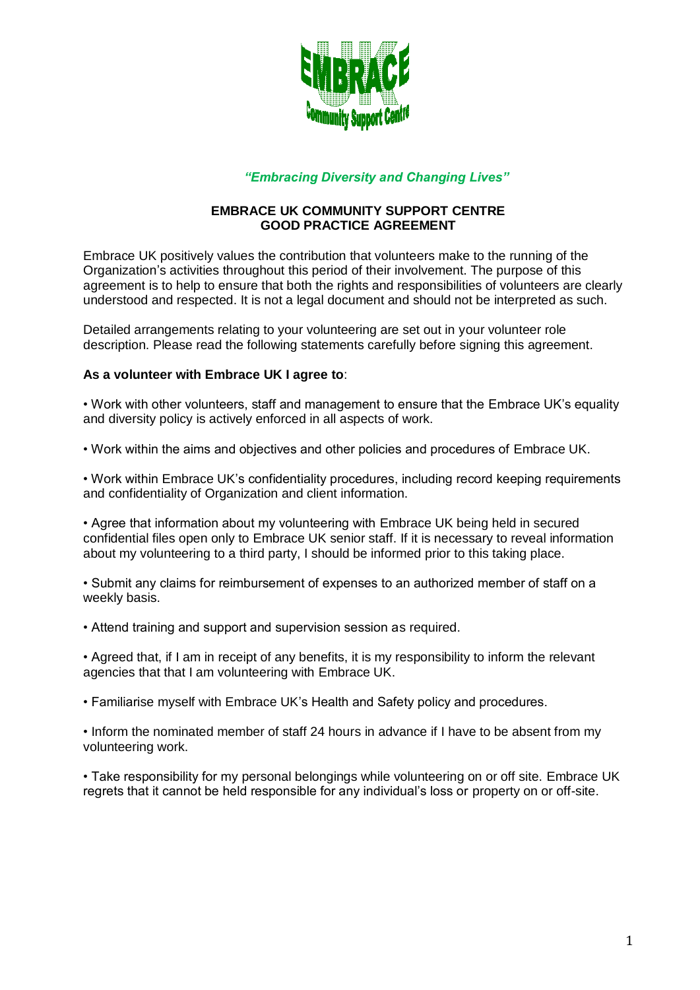

## *"Embracing Diversity and Changing Lives"*

## **EMBRACE UK COMMUNITY SUPPORT CENTRE GOOD PRACTICE AGREEMENT**

Embrace UK positively values the contribution that volunteers make to the running of the Organization's activities throughout this period of their involvement. The purpose of this agreement is to help to ensure that both the rights and responsibilities of volunteers are clearly understood and respected. It is not a legal document and should not be interpreted as such.

Detailed arrangements relating to your volunteering are set out in your volunteer role description. Please read the following statements carefully before signing this agreement.

## **As a volunteer with Embrace UK I agree to**:

• Work with other volunteers, staff and management to ensure that the Embrace UK's equality and diversity policy is actively enforced in all aspects of work.

• Work within the aims and objectives and other policies and procedures of Embrace UK.

• Work within Embrace UK's confidentiality procedures, including record keeping requirements and confidentiality of Organization and client information.

• Agree that information about my volunteering with Embrace UK being held in secured confidential files open only to Embrace UK senior staff. If it is necessary to reveal information about my volunteering to a third party, I should be informed prior to this taking place.

• Submit any claims for reimbursement of expenses to an authorized member of staff on a weekly basis.

• Attend training and support and supervision session as required.

• Agreed that, if I am in receipt of any benefits, it is my responsibility to inform the relevant agencies that that I am volunteering with Embrace UK.

• Familiarise myself with Embrace UK's Health and Safety policy and procedures.

• Inform the nominated member of staff 24 hours in advance if I have to be absent from my volunteering work.

• Take responsibility for my personal belongings while volunteering on or off site. Embrace UK regrets that it cannot be held responsible for any individual's loss or property on or off-site.